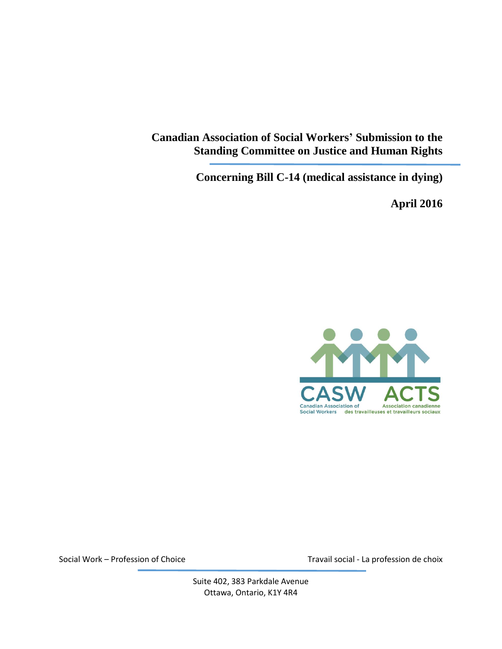**Canadian Association of Social Workers' Submission to the Standing Committee on Justice and Human Rights**

**Concerning Bill C-14 (medical assistance in dying)**

**April 2016**



Social Work – Profession of Choice Travail social - La profession de choix

Suite 402, 383 Parkdale Avenue Ottawa, Ontario, K1Y 4R4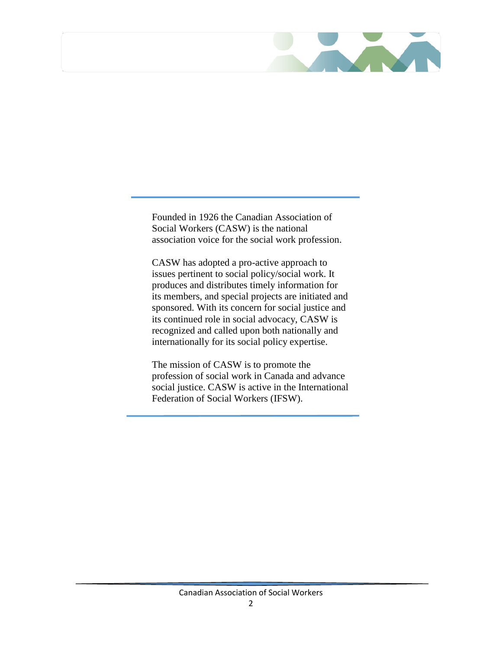

Founded in 1926 the Canadian Association of Social Workers (CASW) is the national association voice for the social work profession.

CASW has adopted a pro-active approach to issues pertinent to social policy/social work. It produces and distributes timely information for its members, and special projects are initiated and sponsored. With its concern for social justice and its continued role in social advocacy, CASW is recognized and called upon both nationally and internationally for its social policy expertise.

The mission of CASW is to promote the profession of social work in Canada and advance social justice. CASW is active in the International Federation of Social Workers (IFSW).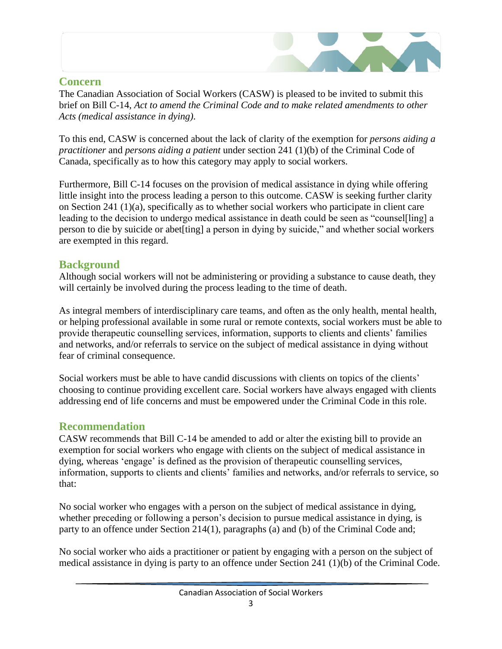## **Concern**

The Canadian Association of Social Workers (CASW) is pleased to be invited to submit this brief on Bill C-14, *Act to amend the Criminal Code and to make related amendments to other Acts (medical assistance in dying)*.

To this end, CASW is concerned about the lack of clarity of the exemption for *persons aiding a practitioner* and *persons aiding a patient* under section 241 (1)(b) of the Criminal Code of Canada, specifically as to how this category may apply to social workers.

Furthermore, Bill C-14 focuses on the provision of medical assistance in dying while offering little insight into the process leading a person to this outcome. CASW is seeking further clarity on Section 241 (1)(a), specifically as to whether social workers who participate in client care leading to the decision to undergo medical assistance in death could be seen as "counsel[ling] a person to die by suicide or abet[ting] a person in dying by suicide," and whether social workers are exempted in this regard.

## **Background**

Although social workers will not be administering or providing a substance to cause death, they will certainly be involved during the process leading to the time of death.

As integral members of interdisciplinary care teams, and often as the only health, mental health, or helping professional available in some rural or remote contexts, social workers must be able to provide therapeutic counselling services, information, supports to clients and clients' families and networks, and/or referrals to service on the subject of medical assistance in dying without fear of criminal consequence.

Social workers must be able to have candid discussions with clients on topics of the clients' choosing to continue providing excellent care. Social workers have always engaged with clients addressing end of life concerns and must be empowered under the Criminal Code in this role.

## **Recommendation**

CASW recommends that Bill C-14 be amended to add or alter the existing bill to provide an exemption for social workers who engage with clients on the subject of medical assistance in dying, whereas 'engage' is defined as the provision of therapeutic counselling services, information, supports to clients and clients' families and networks, and/or referrals to service, so that:

No social worker who engages with a person on the subject of medical assistance in dying, whether preceding or following a person's decision to pursue medical assistance in dying, is party to an offence under Section 214(1), paragraphs (a) and (b) of the Criminal Code and;

No social worker who aids a practitioner or patient by engaging with a person on the subject of medical assistance in dying is party to an offence under Section 241 (1)(b) of the Criminal Code.